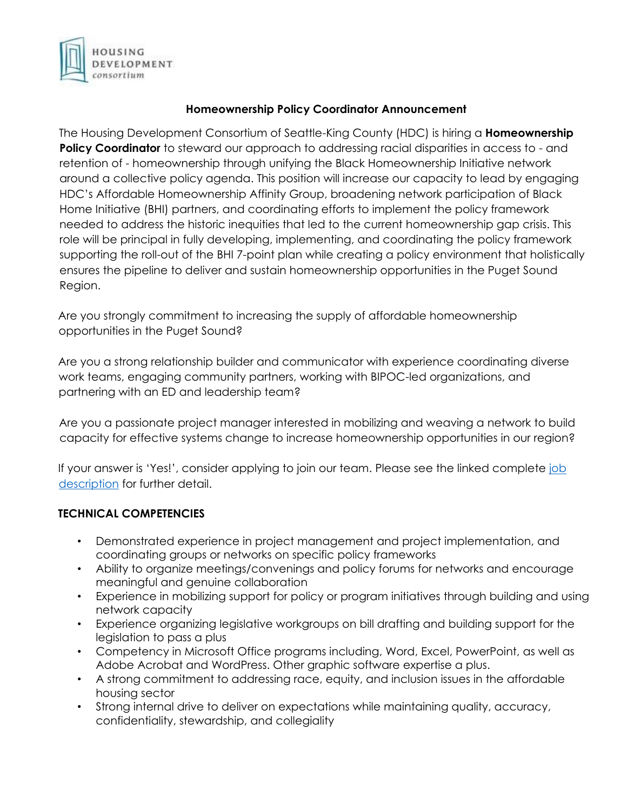

## **Homeownership Policy Coordinator Announcement**

The Housing Development Consortium of Seattle-King County (HDC) is hiring a **Homeownership Policy Coordinator** to steward our approach to addressing racial disparities in access to - and retention of - homeownership through unifying the Black Homeownership Initiative network around a collective policy agenda. This position will increase our capacity to lead by engaging HDC's Affordable Homeownership Affinity Group, broadening network participation of Black Home Initiative (BHI) partners, and coordinating efforts to implement the policy framework needed to address the historic inequities that led to the current homeownership gap crisis. This role will be principal in fully developing, implementing, and coordinating the policy framework supporting the roll-out of the BHI 7-point plan while creating a policy environment that holistically ensures the pipeline to deliver and sustain homeownership opportunities in the Puget Sound Region.

Are you strongly commitment to increasing the supply of affordable homeownership opportunities in the Puget Sound?

Are you a strong relationship builder and communicator with experience coordinating diverse work teams, engaging community partners, working with BIPOC-led organizations, and partnering with an ED and leadership team?

Are you a passionate project manager interested in mobilizing and weaving a network to build capacity for effective systems change to increase homeownership opportunities in our region?

If your answer is 'Yes!', consider applying to join our team. Please see the linked complete job [description](https://www.housingconsortium.org/wp-content/uploads/2022/06/Homeownership-Policy-Coordinator-Final.pdf) for further detail.

## **TECHNICAL COMPETENCIES**

- Demonstrated experience in project management and project implementation, and coordinating groups or networks on specific policy frameworks
- Ability to organize meetings/convenings and policy forums for networks and encourage meaningful and genuine collaboration
- Experience in mobilizing support for policy or program initiatives through building and using network capacity
- Experience organizing legislative workgroups on bill drafting and building support for the legislation to pass a plus
- Competency in Microsoft Office programs including, Word, Excel, PowerPoint, as well as Adobe Acrobat and WordPress. Other graphic software expertise a plus.
- A strong commitment to addressing race, equity, and inclusion issues in the affordable housing sector
- Strong internal drive to deliver on expectations while maintaining quality, accuracy, confidentiality, stewardship, and collegiality